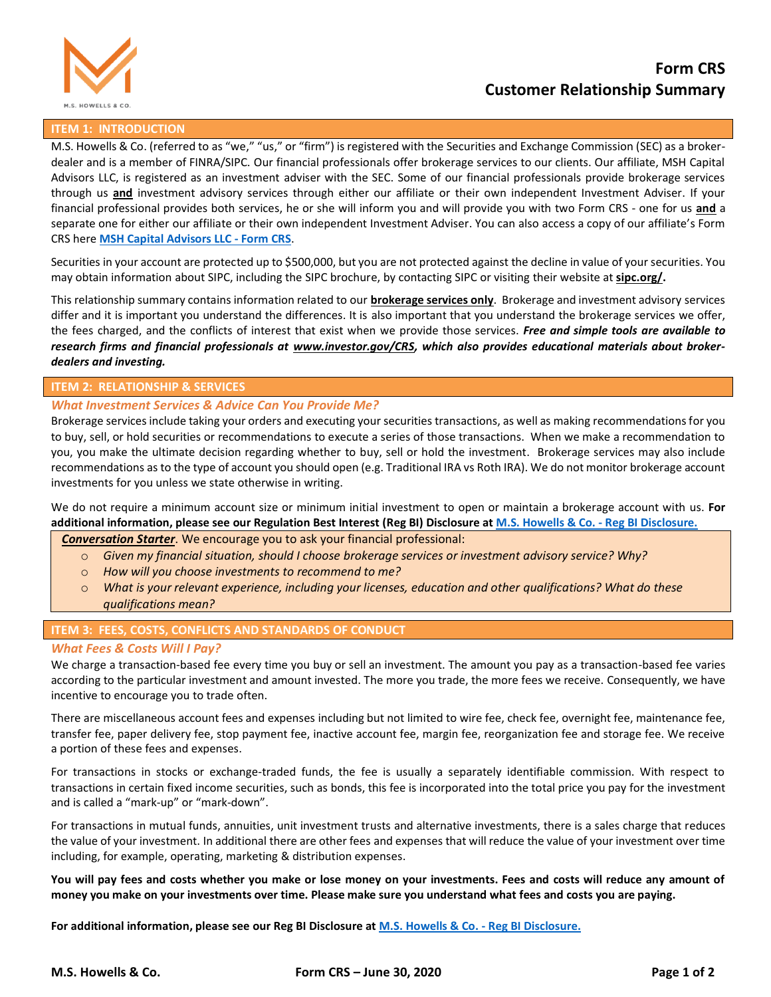

# **Form CRS Customer Relationship Summary**

## **ITEM 1: INTRODUCTION**

M.S. Howells & Co. (referred to as "we," "us," or "firm") is registered with the Securities and Exchange Commission (SEC) as a brokerdealer and is a member of FINRA/SIPC. Our financial professionals offer brokerage services to our clients. Our affiliate, MSH Capital Advisors LLC, is registered as an investment adviser with the SEC. Some of our financial professionals provide brokerage services through us **and** investment advisory services through either our affiliate or their own independent Investment Adviser. If your financial professional provides both services, he or she will inform you and will provide you with two Form CRS - one for us **and** a separate one for either our affiliate or their own independent Investment Adviser. You can also access a copy of our affiliate's Form CRS here **[MSH Capital Advisors LLC -](https://www.mshcapitaladvisors.com/images/Form-CRS.pdf) Form CRS**.

Securities in your account are protected up to \$500,000, but you are not protected against the decline in value of your securities. You may obtain information about SIPC, including the SIPC brochure, by contacting SIPC or visiting their website at **[sipc.org/.](https://www.sipc.org/)**

This relationship summary contains information related to our **brokerage services only**. Brokerage and investment advisory services differ and it is important you understand the differences. It is also important that you understand the brokerage services we offer, the fees charged, and the conflicts of interest that exist when we provide those services. *Free and simple tools are available to research firms and financial professionals at [www.investor.gov/CRS,](http://www.investor.gov/CRS) which also provides educational materials about brokerdealers and investing.*

#### **ITEM 2: RELATIONSHIP & SERVICES**

## *What Investment Services & Advice Can You Provide Me?*

Brokerage services include taking your orders and executing your securities transactions, as well as making recommendations for you to buy, sell, or hold securities or recommendations to execute a series of those transactions. When we make a recommendation to you, you make the ultimate decision regarding whether to buy, sell or hold the investment. Brokerage services may also include recommendations as to the type of account you should open (e.g. Traditional IRA vs Roth IRA). We do not monitor brokerage account investments for you unless we state otherwise in writing.

We do not require a minimum account size or minimum initial investment to open or maintain a brokerage account with us. **For additional information, please see our Regulation Best Interest (Reg BI) Disclosure a[t M.S. Howells & Co. -](https://mshowells.com/disclosures) Reg BI Disclosure.**

#### *Conversation Starter*. We encourage you to ask your financial professional:

- o *Given my financial situation, should I choose brokerage services or investment advisory service? Why?*
- o *How will you choose investments to recommend to me?*
- o *What is your relevant experience, including your licenses, education and other qualifications? What do these qualifications mean?*

## **ITEM 3: FEES, COSTS, CONFLICTS AND STANDARDS OF CONDUCT**

#### *What Fees & Costs Will I Pay?*

We charge a transaction-based fee every time you buy or sell an investment. The amount you pay as a transaction-based fee varies according to the particular investment and amount invested. The more you trade, the more fees we receive. Consequently, we have incentive to encourage you to trade often.

There are miscellaneous account fees and expenses including but not limited to wire fee, check fee, overnight fee, maintenance fee, transfer fee, paper delivery fee, stop payment fee, inactive account fee, margin fee, reorganization fee and storage fee. We receive a portion of these fees and expenses.

For transactions in stocks or exchange-traded funds, the fee is usually a separately identifiable commission. With respect to transactions in certain fixed income securities, such as bonds, this fee is incorporated into the total price you pay for the investment and is called a "mark‐up" or "mark-down".

For transactions in mutual funds, annuities, unit investment trusts and alternative investments, there is a sales charge that reduces the value of your investment. In additional there are other fees and expenses that will reduce the value of your investment over time including, for example, operating, marketing & distribution expenses.

**You will pay fees and costs whether you make or lose money on your investments. Fees and costs will reduce any amount of money you make on your investments over time. Please make sure you understand what fees and costs you are paying.**

**For additional information, please see our Reg BI Disclosure at [M.S. Howells & Co. -](https://mshowells.com/disclosures) Reg BI Disclosure.**